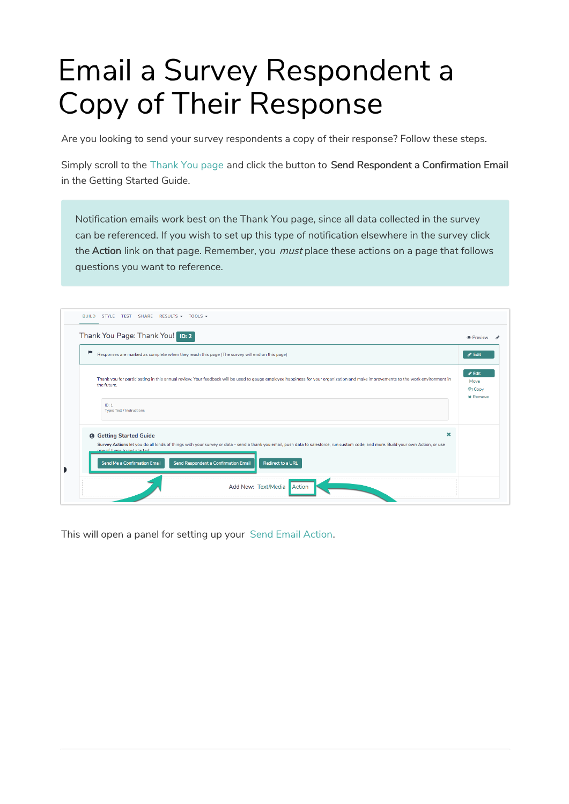# Email a Survey Respondent a Copy of Their Response

Are you looking to send your survey respondents a copy of their response? Follow these steps.

Simply scroll to the Thank You page and click the button to Send Respondent a Confirmation Email in the Getting Started Guide.

Notification emails work best on the Thank You page, since all data collected in the survey can be referenced. If you wish to set up this type of notification elsewhere in the survey click the Action link on that page. Remember, you *must* place these actions on a page that follows questions you want to reference.

|   | Thank You Page: Thank You! ID: 2                                                                                                                                                                                   | <b>•</b> Preview                                                              |
|---|--------------------------------------------------------------------------------------------------------------------------------------------------------------------------------------------------------------------|-------------------------------------------------------------------------------|
| ш | Responses are marked as complete when they reach this page (The survey will end on this page)                                                                                                                      | $\blacktriangleright$ Edit                                                    |
|   | Thank you for participating in this annual review. Your feedback will be used to gauge employee happiness for your organization and make improvements to the work environment in<br>the future.                    | $\blacktriangleright$ Edit<br>Move<br><b><i>C</i></b> Copy<br><b>x</b> Remove |
|   | ID: 1<br>Type: Text / Instructions                                                                                                                                                                                 |                                                                               |
|   | ×<br><b>O</b> Getting Started Guide                                                                                                                                                                                |                                                                               |
|   | Survey Actions let you do all kinds of things with your survey or data - send a thank you email, push data to salesforce, run custom code, and more. Build your own Action, or use<br>one of these to get started: |                                                                               |
|   | Send Me a Confirmation Email<br>Send Respondent a Confirmation Email<br><b>Redirect to a URL</b>                                                                                                                   |                                                                               |

This will open a panel for setting up your Send Email Action.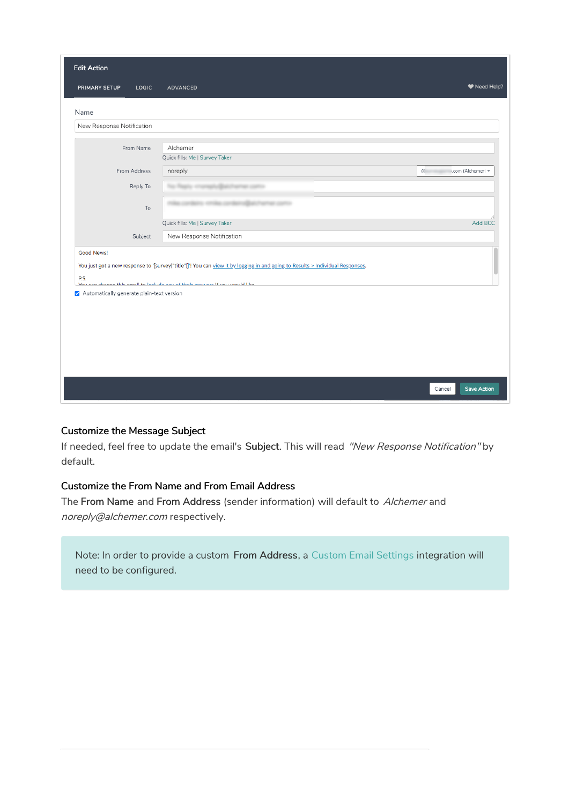| LOGIC<br>PRIMARY SETUP<br><b>ADVANCED</b><br>Name<br>New Response Notification<br>Alchemer<br>From Name<br>Quick fills: Me   Survey Taker<br>From Address<br>$\mathbf G$<br>noreply<br>.com (Alchemer) -<br>Reply To<br>To<br>Quick fills: Me   Survey Taker<br>New Response Notification<br>Subject<br>Good News!<br>You just got a new response to '[survey("title")]". You can view it by logging in and going to Results > Individual Responses.<br>P.S.<br>Vou can change this amail to include any of their answers if you would like.<br>√ Automatically generate plain-text version | <b>Edit Action</b> |  |                    |
|---------------------------------------------------------------------------------------------------------------------------------------------------------------------------------------------------------------------------------------------------------------------------------------------------------------------------------------------------------------------------------------------------------------------------------------------------------------------------------------------------------------------------------------------------------------------------------------------|--------------------|--|--------------------|
|                                                                                                                                                                                                                                                                                                                                                                                                                                                                                                                                                                                             |                    |  | ♥ Need Help?       |
|                                                                                                                                                                                                                                                                                                                                                                                                                                                                                                                                                                                             |                    |  |                    |
|                                                                                                                                                                                                                                                                                                                                                                                                                                                                                                                                                                                             |                    |  |                    |
|                                                                                                                                                                                                                                                                                                                                                                                                                                                                                                                                                                                             |                    |  |                    |
|                                                                                                                                                                                                                                                                                                                                                                                                                                                                                                                                                                                             |                    |  |                    |
|                                                                                                                                                                                                                                                                                                                                                                                                                                                                                                                                                                                             |                    |  |                    |
|                                                                                                                                                                                                                                                                                                                                                                                                                                                                                                                                                                                             |                    |  |                    |
|                                                                                                                                                                                                                                                                                                                                                                                                                                                                                                                                                                                             |                    |  |                    |
|                                                                                                                                                                                                                                                                                                                                                                                                                                                                                                                                                                                             |                    |  | Add BCC            |
|                                                                                                                                                                                                                                                                                                                                                                                                                                                                                                                                                                                             |                    |  |                    |
|                                                                                                                                                                                                                                                                                                                                                                                                                                                                                                                                                                                             |                    |  |                    |
|                                                                                                                                                                                                                                                                                                                                                                                                                                                                                                                                                                                             |                    |  |                    |
|                                                                                                                                                                                                                                                                                                                                                                                                                                                                                                                                                                                             |                    |  |                    |
|                                                                                                                                                                                                                                                                                                                                                                                                                                                                                                                                                                                             |                    |  |                    |
|                                                                                                                                                                                                                                                                                                                                                                                                                                                                                                                                                                                             |                    |  |                    |
|                                                                                                                                                                                                                                                                                                                                                                                                                                                                                                                                                                                             |                    |  |                    |
|                                                                                                                                                                                                                                                                                                                                                                                                                                                                                                                                                                                             |                    |  |                    |
| Cancel                                                                                                                                                                                                                                                                                                                                                                                                                                                                                                                                                                                      |                    |  | <b>Save Action</b> |

#### Customize the Message Subject

If needed, feel free to update the email's Subject. This will read "New Response Notification" by default.

## Customize the From Name and From Email Address

The From Name and From Address (sender information) will default to Alchemer and noreply@alchemer.com respectively.

Note: In order to provide a custom From Address, a Custom Email Settings integration will need to be configured.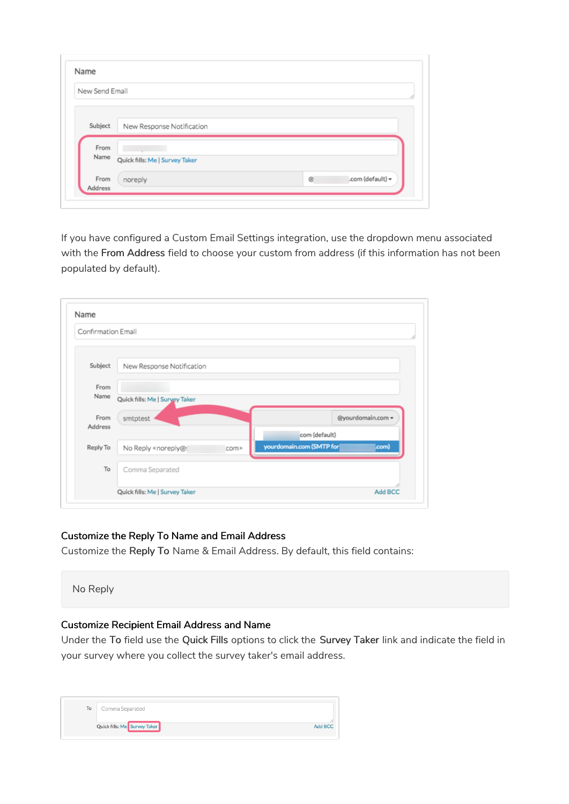| New Send Email |                                |
|----------------|--------------------------------|
|                |                                |
| Subject        |                                |
|                | New Response Notification      |
| From           |                                |
| Name           | Quick fills: Me   Survey Taker |

If you have configured a Custom Email Settings integration, use the dropdown menu associated with the From Address field to choose your custom from address (if this information has not been populated by default).

| Confirmation Email |                                                                                                          |       |                          |                   |
|--------------------|----------------------------------------------------------------------------------------------------------|-------|--------------------------|-------------------|
| Subject            | New Response Notification                                                                                |       |                          |                   |
| From<br>Name       | Quick fills: Me   Survey Taker                                                                           |       |                          |                   |
| From<br>Address    | smtptest                                                                                                 |       | com (default)            | @yourdomain.com = |
| Reply To           | No Reply <noreply@:< td=""><td>.com&gt;</td><td>yourdomain.com (SMTP for</td><td>Lcom)</td></noreply@:<> | .com> | yourdomain.com (SMTP for | Lcom)             |
| To                 | Comma Separated                                                                                          |       |                          |                   |
|                    | Quick fills: Me   Survey Taker                                                                           |       |                          | Add BCC           |

#### Customize the Reply To Name and Email Address

Customize the Reply To Name & Email Address. By default, this field contains:



# Customize Recipient Email Address and Name

Under the To field use the Quick Fills options to click the Survey Taker link and indicate the field in your survey where you collect the survey taker's email address.

| To | Comma Separated              |         |
|----|------------------------------|---------|
|    | Quick fills: Me Survey Taker | Add BCC |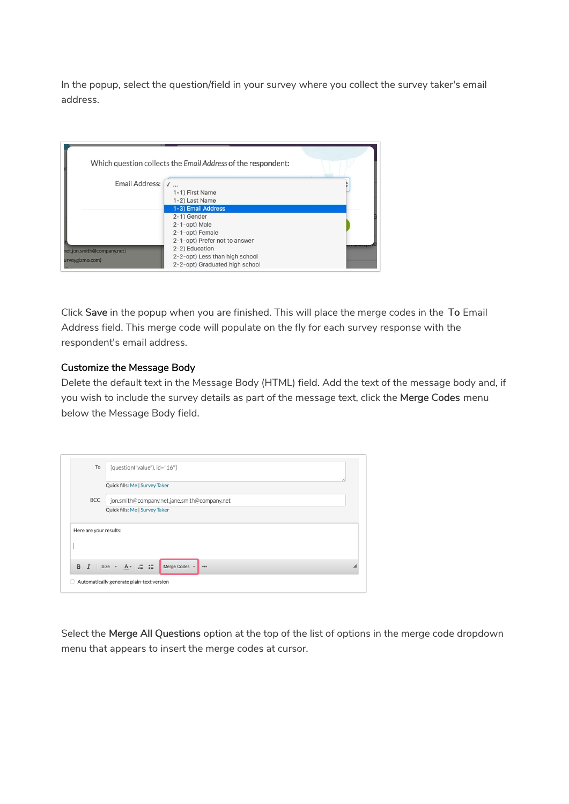In the popup, select the question/field in your survey where you collect the survey taker's email address.

|                                               | Which question collects the Email Address of the respondent:                                                        |  |
|-----------------------------------------------|---------------------------------------------------------------------------------------------------------------------|--|
| Email Address: √                              | 1-1) First Name<br>1-2) Last Name                                                                                   |  |
|                                               | 1-3) Email Address<br>2-1) Gender                                                                                   |  |
|                                               | 2-1-opt) Male<br>2-1-opt) Female                                                                                    |  |
| net,jon.smith@company.net)<br>urveygizmo.com) | 2-1-opt) Prefer not to answer<br>2-2) Education<br>2-2-opt) Less than high school<br>2-2-opt) Graduated high school |  |

Click Save in the popup when you are finished. This will place the merge codes in the To Email Address field. This merge code will populate on the fly for each survey response with the respondent's email address.

## Customize the Message Body

Delete the default text in the Message Body (HTML) field. Add the text of the message body and, if you wish to include the survey details as part of the message text, click the Merge Codes menu below the Message Body field.

| To                     | [question("value"), id="16"]                                                          |  |  |  |
|------------------------|---------------------------------------------------------------------------------------|--|--|--|
|                        | Quick fills: Me   Survey Taker                                                        |  |  |  |
| <b>BCC</b>             | jon.smith@company.net,jane.smith@company.net                                          |  |  |  |
|                        | Quick fills: Me   Survey Taker                                                        |  |  |  |
| Here are your results: |                                                                                       |  |  |  |
| B                      | $I$ Size $\sim$ $A \sim$ $\frac{1}{2}$ $\approx$ $\frac{2}{3}$<br>Merge Codes v<br>$$ |  |  |  |
|                        | Automatically generate plain-text version                                             |  |  |  |

Select the Merge All Questions option at the top of the list of options in the merge code dropdown menu that appears to insert the merge codes at cursor.